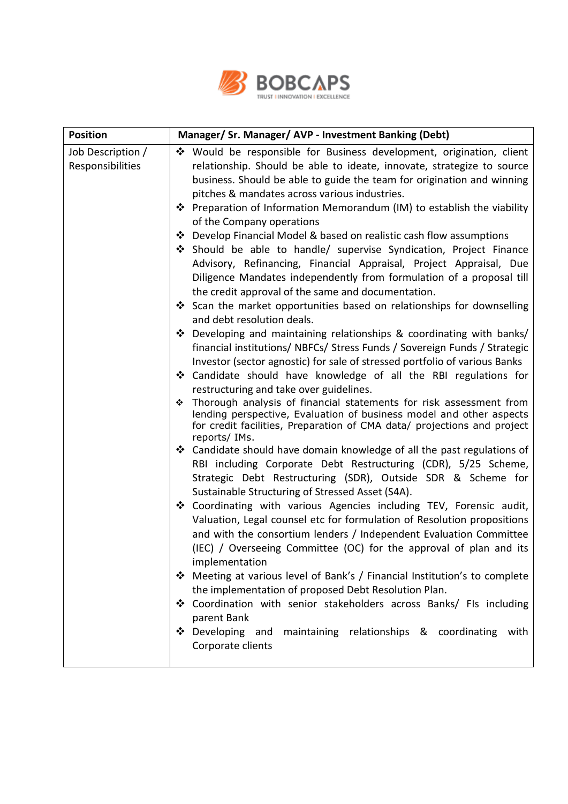

| <b>Position</b>                       | Manager/ Sr. Manager/ AVP - Investment Banking (Debt)                                                                                                                                                                                                                                                                                                                                                                                                                                                                                                                                                                                                                                                                                                                                                                                                                                                                                                                                                                                                                                                                                                                                                                                                                                                                                                                                                                                                                                                                                                                                                                                                                                                                                                                                                                                                                                                                                                                                                                                                                                                                                                                                                                                                                                                                                 |
|---------------------------------------|---------------------------------------------------------------------------------------------------------------------------------------------------------------------------------------------------------------------------------------------------------------------------------------------------------------------------------------------------------------------------------------------------------------------------------------------------------------------------------------------------------------------------------------------------------------------------------------------------------------------------------------------------------------------------------------------------------------------------------------------------------------------------------------------------------------------------------------------------------------------------------------------------------------------------------------------------------------------------------------------------------------------------------------------------------------------------------------------------------------------------------------------------------------------------------------------------------------------------------------------------------------------------------------------------------------------------------------------------------------------------------------------------------------------------------------------------------------------------------------------------------------------------------------------------------------------------------------------------------------------------------------------------------------------------------------------------------------------------------------------------------------------------------------------------------------------------------------------------------------------------------------------------------------------------------------------------------------------------------------------------------------------------------------------------------------------------------------------------------------------------------------------------------------------------------------------------------------------------------------------------------------------------------------------------------------------------------------|
| Job Description /<br>Responsibilities | ❖ Would be responsible for Business development, origination, client<br>relationship. Should be able to ideate, innovate, strategize to source<br>business. Should be able to guide the team for origination and winning<br>pitches & mandates across various industries.<br>❖ Preparation of Information Memorandum (IM) to establish the viability<br>of the Company operations<br>❖ Develop Financial Model & based on realistic cash flow assumptions<br>Should be able to handle/ supervise Syndication, Project Finance<br>Advisory, Refinancing, Financial Appraisal, Project Appraisal, Due<br>Diligence Mandates independently from formulation of a proposal till<br>the credit approval of the same and documentation.<br>❖ Scan the market opportunities based on relationships for downselling<br>and debt resolution deals.<br>❖ Developing and maintaining relationships & coordinating with banks/<br>financial institutions/ NBFCs/ Stress Funds / Sovereign Funds / Strategic<br>Investor (sector agnostic) for sale of stressed portfolio of various Banks<br>❖ Candidate should have knowledge of all the RBI regulations for<br>restructuring and take over guidelines.<br>Thorough analysis of financial statements for risk assessment from<br>❖<br>lending perspective, Evaluation of business model and other aspects<br>for credit facilities, Preparation of CMA data/ projections and project<br>reports/ IMs.<br>❖ Candidate should have domain knowledge of all the past regulations of<br>RBI including Corporate Debt Restructuring (CDR), 5/25 Scheme,<br>Strategic Debt Restructuring (SDR), Outside SDR & Scheme for<br>Sustainable Structuring of Stressed Asset (S4A).<br>❖ Coordinating with various Agencies including TEV, Forensic audit,<br>Valuation, Legal counsel etc for formulation of Resolution propositions<br>and with the consortium lenders / Independent Evaluation Committee<br>(IEC) / Overseeing Committee (OC) for the approval of plan and its<br>implementation<br>Meeting at various level of Bank's / Financial Institution's to complete<br>❖<br>the implementation of proposed Debt Resolution Plan.<br>❖ Coordination with senior stakeholders across Banks/ FIs including<br>parent Bank<br>Developing and<br>maintaining relationships & coordinating<br>❖<br>with |
|                                       | Corporate clients                                                                                                                                                                                                                                                                                                                                                                                                                                                                                                                                                                                                                                                                                                                                                                                                                                                                                                                                                                                                                                                                                                                                                                                                                                                                                                                                                                                                                                                                                                                                                                                                                                                                                                                                                                                                                                                                                                                                                                                                                                                                                                                                                                                                                                                                                                                     |